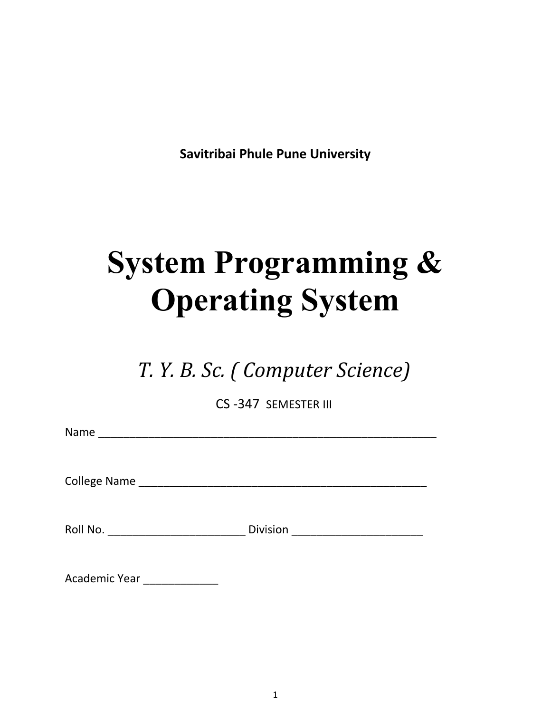**Savitribai Phule Pune University**

# **System Programming & Operating System**

*T. Y. B. Sc. ( Computer Science)*

CS -347 SEMESTER III

Name \_\_\_\_\_\_\_\_\_\_\_\_\_\_\_\_\_\_\_\_\_\_\_\_\_\_\_\_\_\_\_\_\_\_\_\_\_\_\_\_\_\_\_\_\_\_\_\_\_\_\_\_\_\_

College Name \_\_\_\_\_\_\_\_\_\_\_\_\_\_\_\_\_\_\_\_\_\_\_\_\_\_\_\_\_\_\_\_\_\_\_\_\_\_\_\_\_\_\_\_\_\_

Roll No. \_\_\_\_\_\_\_\_\_\_\_\_\_\_\_\_\_\_\_\_\_\_ Division \_\_\_\_\_\_\_\_\_\_\_\_\_\_\_\_\_\_\_\_\_

| Academic Year |  |
|---------------|--|
|---------------|--|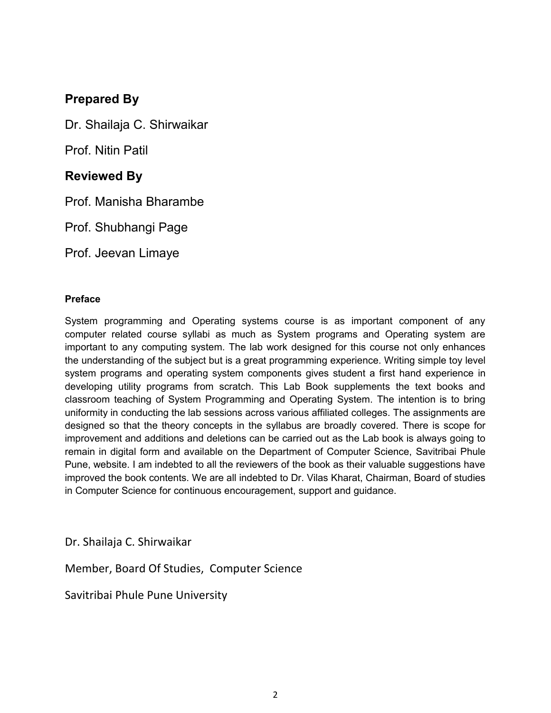# **Prepared By**

Dr. Shailaja C. Shirwaikar

Prof. Nitin Patil

# **Reviewed By**

Prof. Manisha Bharambe

Prof. Shubhangi Page

Prof. Jeevan Limaye

#### **Preface**

System programming and Operating systems course is as important component of any computer related course syllabi as much as System programs and Operating system are important to any computing system. The lab work designed for this course not only enhances the understanding of the subject but is a great programming experience. Writing simple toy level system programs and operating system components gives student a first hand experience in developing utility programs from scratch. This Lab Book supplements the text books and classroom teaching of System Programming and Operating System. The intention is to bring uniformity in conducting the lab sessions across various affiliated colleges. The assignments are designed so that the theory concepts in the syllabus are broadly covered. There is scope for improvement and additions and deletions can be carried out as the Lab book is always going to remain in digital form and available on the Department of Computer Science, Savitribai Phule Pune, website. I am indebted to all the reviewers of the book as their valuable suggestions have improved the book contents. We are all indebted to Dr. Vilas Kharat, Chairman, Board of studies in Computer Science for continuous encouragement, support and guidance.

Dr. Shailaja C. Shirwaikar

Member, Board Of Studies, Computer Science

Savitribai Phule Pune University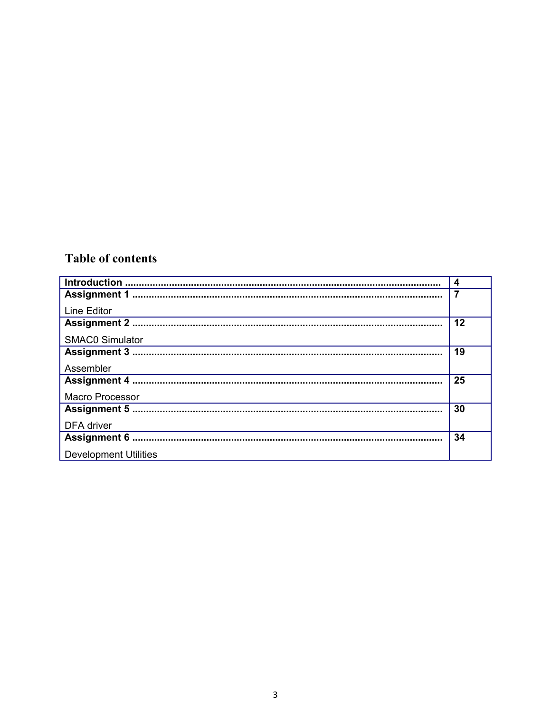# **Table of contents**

|                              | 4  |
|------------------------------|----|
|                              |    |
| Line Editor                  |    |
|                              | 12 |
| <b>SMAC0 Simulator</b>       |    |
|                              | 19 |
| Assembler                    |    |
|                              | 25 |
| <b>Macro Processor</b>       |    |
|                              | 30 |
| DFA driver                   |    |
|                              | 34 |
| <b>Development Utilities</b> |    |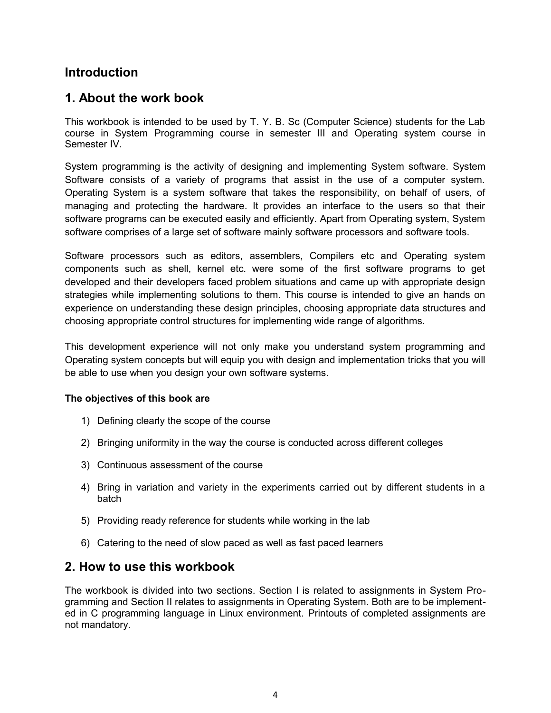# **Introduction**

# **1. About the work book**

This workbook is intended to be used by T. Y. B. Sc (Computer Science) students for the Lab course in System Programming course in semester III and Operating system course in Semester IV.

System programming is the activity of designing and implementing System software. System Software consists of a variety of programs that assist in the use of a computer system. Operating System is a system software that takes the responsibility, on behalf of users, of managing and protecting the hardware. It provides an interface to the users so that their software programs can be executed easily and efficiently. Apart from Operating system, System software comprises of a large set of software mainly software processors and software tools.

Software processors such as editors, assemblers, Compilers etc and Operating system components such as shell, kernel etc. were some of the first software programs to get developed and their developers faced problem situations and came up with appropriate design strategies while implementing solutions to them. This course is intended to give an hands on experience on understanding these design principles, choosing appropriate data structures and choosing appropriate control structures for implementing wide range of algorithms.

This development experience will not only make you understand system programming and Operating system concepts but will equip you with design and implementation tricks that you will be able to use when you design your own software systems.

#### **The objectives of this book are**

- 1) Defining clearly the scope of the course
- 2) Bringing uniformity in the way the course is conducted across different colleges
- 3) Continuous assessment of the course
- 4) Bring in variation and variety in the experiments carried out by different students in a batch
- 5) Providing ready reference for students while working in the lab
- 6) Catering to the need of slow paced as well as fast paced learners

# **2. How to use this workbook**

The workbook is divided into two sections. Section I is related to assignments in System Programming and Section II relates to assignments in Operating System. Both are to be implemented in C programming language in Linux environment. Printouts of completed assignments are not mandatory.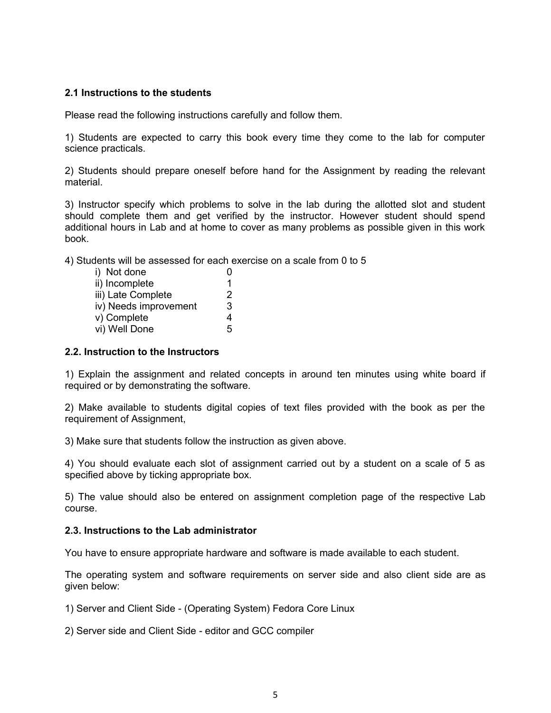#### **2.1 Instructions to the students**

Please read the following instructions carefully and follow them.

1) Students are expected to carry this book every time they come to the lab for computer science practicals.

2) Students should prepare oneself before hand for the Assignment by reading the relevant material.

3) Instructor specify which problems to solve in the lab during the allotted slot and student should complete them and get verified by the instructor. However student should spend additional hours in Lab and at home to cover as many problems as possible given in this work book.

4) Students will be assessed for each exercise on a scale from 0 to 5

| i) Not done           |   |
|-----------------------|---|
| ii) Incomplete        | 1 |
| iii) Late Complete    | 2 |
| iv) Needs improvement | 3 |
| v) Complete           | 4 |
| vi) Well Done         | 5 |

#### **2.2. Instruction to the Instructors**

1) Explain the assignment and related concepts in around ten minutes using white board if required or by demonstrating the software.

2) Make available to students digital copies of text files provided with the book as per the requirement of Assignment,

3) Make sure that students follow the instruction as given above.

4) You should evaluate each slot of assignment carried out by a student on a scale of 5 as specified above by ticking appropriate box.

5) The value should also be entered on assignment completion page of the respective Lab course.

#### **2.3. Instructions to the Lab administrator**

You have to ensure appropriate hardware and software is made available to each student.

The operating system and software requirements on server side and also client side are as given below:

1) Server and Client Side - (Operating System) Fedora Core Linux

2) Server side and Client Side - editor and GCC compiler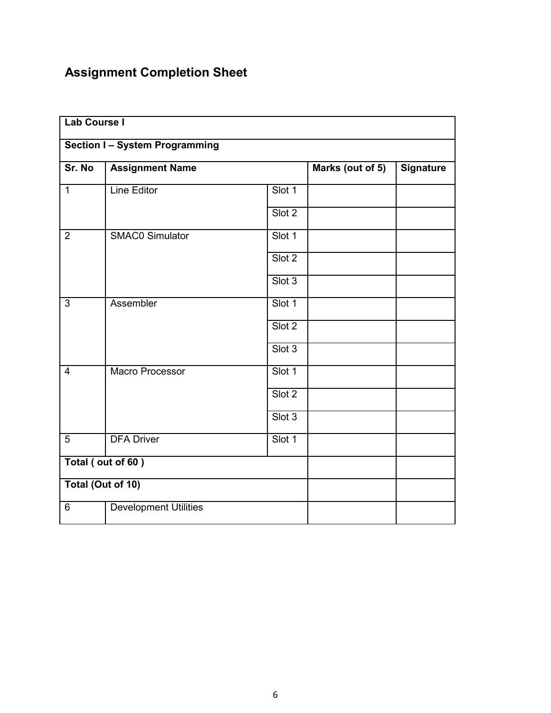# **Assignment Completion Sheet**

| <b>Lab Course I</b> |                                     |        |                  |                  |
|---------------------|-------------------------------------|--------|------------------|------------------|
|                     | <b>Section I-System Programming</b> |        |                  |                  |
| Sr. No              | <b>Assignment Name</b>              |        | Marks (out of 5) | <b>Signature</b> |
| $\overline{1}$      | <b>Line Editor</b>                  | Slot 1 |                  |                  |
|                     |                                     | Slot 2 |                  |                  |
| $\overline{2}$      | <b>SMAC0 Simulator</b>              | Slot 1 |                  |                  |
|                     |                                     | Slot 2 |                  |                  |
|                     |                                     | Slot 3 |                  |                  |
| $\overline{3}$      | Assembler                           | Slot 1 |                  |                  |
|                     |                                     | Slot 2 |                  |                  |
|                     |                                     | Slot 3 |                  |                  |
| $\overline{4}$      | Macro Processor                     | Slot 1 |                  |                  |
|                     |                                     | Slot 2 |                  |                  |
|                     |                                     | Slot 3 |                  |                  |
| 5                   | <b>DFA Driver</b>                   | Slot 1 |                  |                  |
| Total (out of 60)   |                                     |        |                  |                  |
| Total (Out of 10)   |                                     |        |                  |                  |
| 6                   | <b>Development Utilities</b>        |        |                  |                  |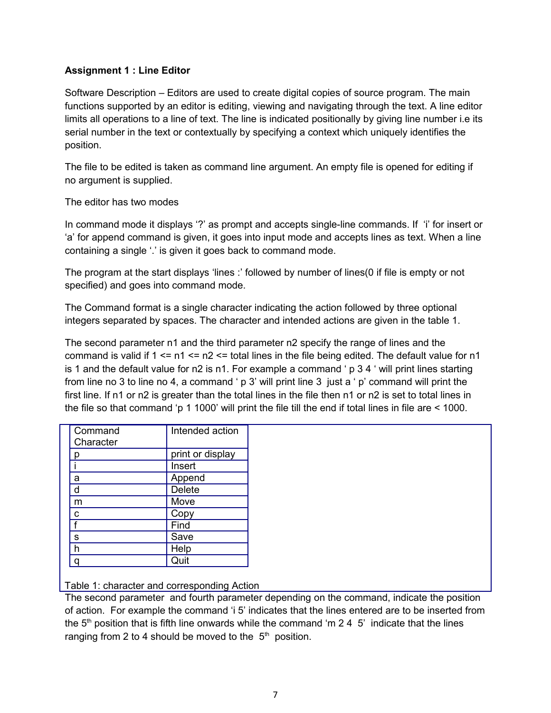#### **Assignment 1 : Line Editor**

Software Description – Editors are used to create digital copies of source program. The main functions supported by an editor is editing, viewing and navigating through the text. A line editor limits all operations to a line of text. The line is indicated positionally by giving line number i.e its serial number in the text or contextually by specifying a context which uniquely identifies the position.

The file to be edited is taken as command line argument. An empty file is opened for editing if no argument is supplied.

#### The editor has two modes

In command mode it displays '?' as prompt and accepts single-line commands. If 'i' for insert or 'a' for append command is given, it goes into input mode and accepts lines as text. When a line containing a single '.' is given it goes back to command mode.

The program at the start displays 'lines :' followed by number of lines(0 if file is empty or not specified) and goes into command mode.

The Command format is a single character indicating the action followed by three optional integers separated by spaces. The character and intended actions are given in the table 1.

The second parameter n1 and the third parameter n2 specify the range of lines and the command is valid if  $1 \le n1 \le n2 \le$  total lines in the file being edited. The default value for n1 is 1 and the default value for n2 is n1. For example a command ' p 3 4 ' will print lines starting from line no 3 to line no 4, a command ' p 3' will print line 3 just a ' p' command will print the first line. If n1 or n2 is greater than the total lines in the file then n1 or n2 is set to total lines in the file so that command 'p 1 1000' will print the file till the end if total lines in file are < 1000.

| Command<br>Character | Intended action  |
|----------------------|------------------|
|                      | print or display |
|                      | Insert           |
| a                    | Append           |
| d                    | Delete           |
| m                    | Move             |
| С                    | Copy             |
| f                    | Find             |
| S                    | Save             |
|                      | Help             |
|                      | Quit             |

Table 1: character and corresponding Action

The second parameter and fourth parameter depending on the command, indicate the position of action. For example the command 'i 5' indicates that the lines entered are to be inserted from the  $5<sup>th</sup>$  position that is fifth line onwards while the command 'm 2 4  $5'$  indicate that the lines ranging from 2 to 4 should be moved to the  $5<sup>th</sup>$  position.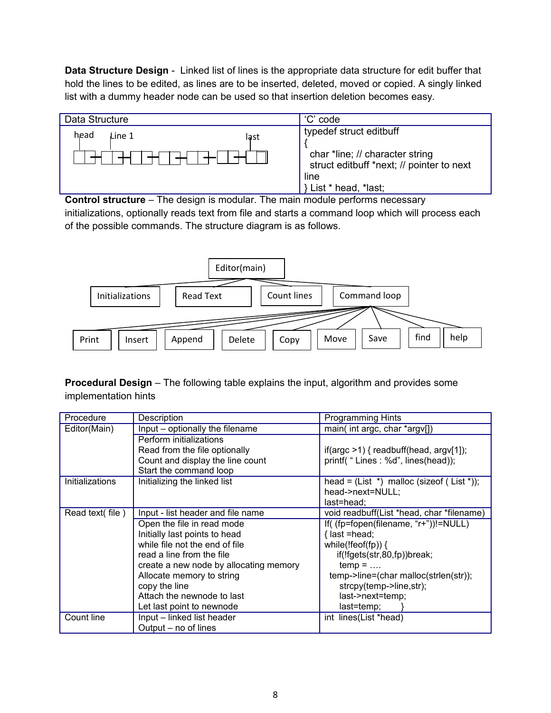**Data Structure Design** - Linked list of lines is the appropriate data structure for edit buffer that hold the lines to be edited, as lines are to be inserted, deleted, moved or copied. A singly linked list with a dummy header node can be used so that insertion deletion becomes easy.



**Control structure** – The design is modular. The main module performs necessary initializations, optionally reads text from file and starts a command loop which will process each of the possible commands. The structure diagram is as follows.



**Procedural Design** – The following table explains the input, algorithm and provides some implementation hints

| Procedure       | Description                            | <b>Programming Hints</b>                          |
|-----------------|----------------------------------------|---------------------------------------------------|
| Editor(Main)    | Input – optionally the filename        | main(int argc, char *argv[])                      |
|                 | Perform initializations                |                                                   |
|                 | Read from the file optionally          | if(argc $>1$ ) { readbuff(head, argv[1]);         |
|                 | Count and display the line count       | printf( "Lines: %d", lines(head));                |
|                 | Start the command loop                 |                                                   |
| Initializations | Initializing the linked list           | head = $(List * )$ malloc (size of $(List * )$ ); |
|                 |                                        | head->next=NULL;                                  |
|                 |                                        | last=head;                                        |
| Read text(file) | Input - list header and file name      | void readbuff(List *head, char *filename)         |
|                 | Open the file in read mode             | If( (fp=fopen(filename, "r+"))!=NULL)             |
|                 | Initially last points to head          | $\{$ last =head;                                  |
|                 | while file not the end of file         | while(!feof(fp)) {                                |
|                 | read a line from the file              | if(!fgets(str,80,fp))break;                       |
|                 | create a new node by allocating memory | $temp = $                                         |
|                 | Allocate memory to string              | temp->line=(char malloc(strlen(str));             |
|                 | copy the line                          | strcpy(temp->line,str);                           |
|                 | Attach the newnode to last             | last->next=temp;                                  |
|                 | Let last point to newnode              | last=temp;                                        |
| Count line      | Input – linked list header             | int lines(List *head)                             |
|                 | Output – no of lines                   |                                                   |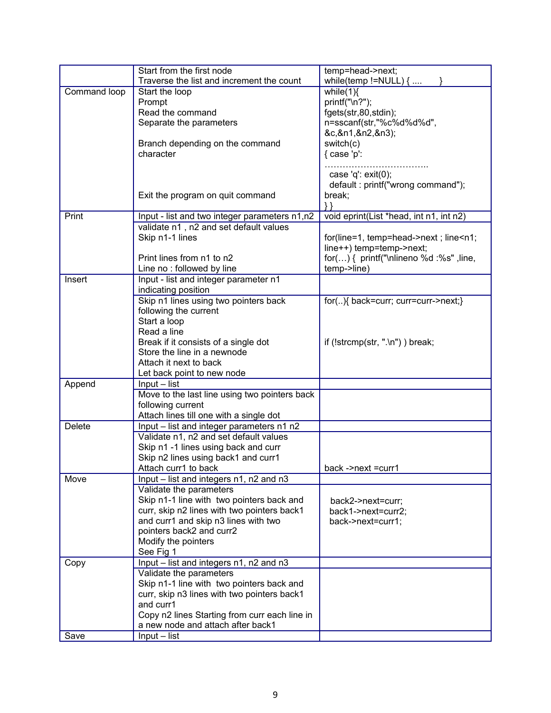|              | Start from the first node                                   | temp=head->next;                                      |
|--------------|-------------------------------------------------------------|-------------------------------------------------------|
|              | Traverse the list and increment the count                   | while(temp != $NULL$ ) {                              |
| Command loop | Start the loop                                              | while $(1)$                                           |
|              | Prompt                                                      | printf("\n?");                                        |
|              | Read the command                                            | fgets(str,80,stdin);                                  |
|              | Separate the parameters                                     | n=sscanf(str,"%c%d%d%d",                              |
|              |                                                             | &c,&n1,&n2,&n3);                                      |
|              | Branch depending on the command                             | switch(c)                                             |
|              | character                                                   | $\{ \text{ case } 'p':$                               |
|              |                                                             |                                                       |
|              |                                                             | case 'q': $exit(0);$                                  |
|              | Exit the program on quit command                            | default: printf("wrong command");                     |
|              |                                                             | break;                                                |
| Print        | Input - list and two integer parameters n1,n2               | void eprint(List *head, int n1, int n2)               |
|              | validate n1, n2 and set default values                      |                                                       |
|              | Skip n1-1 lines                                             | for(line=1, temp=head->next; line <n1;< td=""></n1;<> |
|              |                                                             | line++) temp=temp->next;                              |
|              | Print lines from n1 to n2                                   | for() { printf("\nlineno %d :%s", line,               |
|              | Line no: followed by line                                   | temp->line)                                           |
| Insert       | Input - list and integer parameter n1                       |                                                       |
|              | indicating position                                         |                                                       |
|              | Skip n1 lines using two pointers back                       | for(){ back=curr; curr=curr->next;}                   |
|              | following the current                                       |                                                       |
|              | Start a loop                                                |                                                       |
|              | Read a line                                                 |                                                       |
|              | Break if it consists of a single dot                        | if $(!stromp(str, ". \n' . \n' )$ ) break;            |
|              | Store the line in a newnode                                 |                                                       |
|              | Attach it next to back                                      |                                                       |
|              | Let back point to new node                                  |                                                       |
| Append       | Input - list                                                |                                                       |
|              | Move to the last line using two pointers back               |                                                       |
|              | following current                                           |                                                       |
|              | Attach lines till one with a single dot                     |                                                       |
| Delete       | Input – list and integer parameters n1 n2                   |                                                       |
|              | Validate n1, n2 and set default values                      |                                                       |
|              | Skip n1 -1 lines using back and curr                        |                                                       |
|              | Skip n2 lines using back1 and curr1<br>Attach curr1 to back | back ->next =curr1                                    |
| Move         | Input – list and integers n1, n2 and n3                     |                                                       |
|              | Validate the parameters                                     |                                                       |
|              | Skip n1-1 line with two pointers back and                   |                                                       |
|              | curr, skip n2 lines with two pointers back1                 | back2->next=curr;<br>back1->next=curr2;               |
|              | and curr1 and skip n3 lines with two                        | back->next=curr1;                                     |
|              | pointers back2 and curr2                                    |                                                       |
|              | Modify the pointers                                         |                                                       |
|              | See Fig 1                                                   |                                                       |
| Copy         | Input – list and integers n1, n2 and n3                     |                                                       |
|              | Validate the parameters                                     |                                                       |
|              | Skip n1-1 line with two pointers back and                   |                                                       |
|              | curr, skip n3 lines with two pointers back1                 |                                                       |
|              | and curr1                                                   |                                                       |
|              | Copy n2 lines Starting from curr each line in               |                                                       |
|              | a new node and attach after back1                           |                                                       |
| Save         | $Input - list$                                              |                                                       |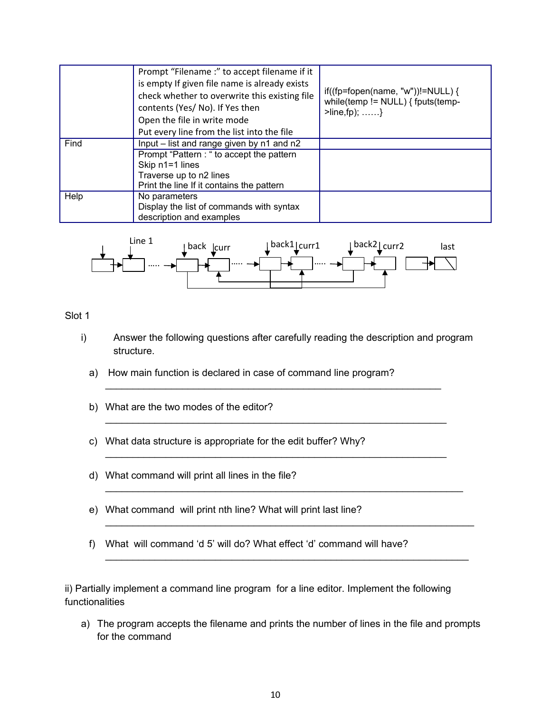|                 | Prompt "Filename :" to accept filename if it  |                                                                                                                        |  |
|-----------------|-----------------------------------------------|------------------------------------------------------------------------------------------------------------------------|--|
|                 | is empty If given file name is already exists |                                                                                                                        |  |
|                 | check whether to overwrite this existing file | if((fp=fopen(name, "w"))!=NULL) {<br>while(temp != $NULL$ ) { fputs(temp-<br>$\text{Plane}, \text{fp}; \dots \dots \}$ |  |
|                 | contents (Yes/ No). If Yes then               |                                                                                                                        |  |
|                 | Open the file in write mode                   |                                                                                                                        |  |
|                 | Put every line from the list into the file    |                                                                                                                        |  |
| Find            | Input - list and range given by n1 and n2     |                                                                                                                        |  |
|                 | Prompt "Pattern : " to accept the pattern     |                                                                                                                        |  |
| Skip n1=1 lines |                                               |                                                                                                                        |  |
|                 | Traverse up to n2 lines                       |                                                                                                                        |  |
|                 | Print the line If it contains the pattern     |                                                                                                                        |  |
| Help            | No parameters                                 |                                                                                                                        |  |
|                 | Display the list of commands with syntax      |                                                                                                                        |  |
|                 | description and examples                      |                                                                                                                        |  |



#### Slot 1

i) Answer the following questions after carefully reading the description and program structure.

\_\_\_\_\_\_\_\_\_\_\_\_\_\_\_\_\_\_\_\_\_\_\_\_\_\_\_\_\_\_\_\_\_\_\_\_\_\_\_\_\_\_\_\_\_\_\_\_\_\_\_\_\_\_\_\_\_\_\_\_\_

\_\_\_\_\_\_\_\_\_\_\_\_\_\_\_\_\_\_\_\_\_\_\_\_\_\_\_\_\_\_\_\_\_\_\_\_\_\_\_\_\_\_\_\_\_\_\_\_\_\_\_\_\_\_\_\_\_\_\_\_\_\_

\_\_\_\_\_\_\_\_\_\_\_\_\_\_\_\_\_\_\_\_\_\_\_\_\_\_\_\_\_\_\_\_\_\_\_\_\_\_\_\_\_\_\_\_\_\_\_\_\_\_\_\_\_\_\_\_\_\_\_\_\_\_

\_\_\_\_\_\_\_\_\_\_\_\_\_\_\_\_\_\_\_\_\_\_\_\_\_\_\_\_\_\_\_\_\_\_\_\_\_\_\_\_\_\_\_\_\_\_\_\_\_\_\_\_\_\_\_\_\_\_\_\_\_\_\_\_\_

\_\_\_\_\_\_\_\_\_\_\_\_\_\_\_\_\_\_\_\_\_\_\_\_\_\_\_\_\_\_\_\_\_\_\_\_\_\_\_\_\_\_\_\_\_\_\_\_\_\_\_\_\_\_\_\_\_\_\_\_\_\_\_\_\_\_\_

\_\_\_\_\_\_\_\_\_\_\_\_\_\_\_\_\_\_\_\_\_\_\_\_\_\_\_\_\_\_\_\_\_\_\_\_\_\_\_\_\_\_\_\_\_\_\_\_\_\_\_\_\_\_\_\_\_\_\_\_\_\_\_\_\_\_

- a) How main function is declared in case of command line program?
- b) What are the two modes of the editor?
- c) What data structure is appropriate for the edit buffer? Why?
- d) What command will print all lines in the file?
- e) What command will print nth line? What will print last line?
- f) What will command 'd 5' will do? What effect 'd' command will have?

ii) Partially implement a command line program for a line editor. Implement the following functionalities

a) The program accepts the filename and prints the number of lines in the file and prompts for the command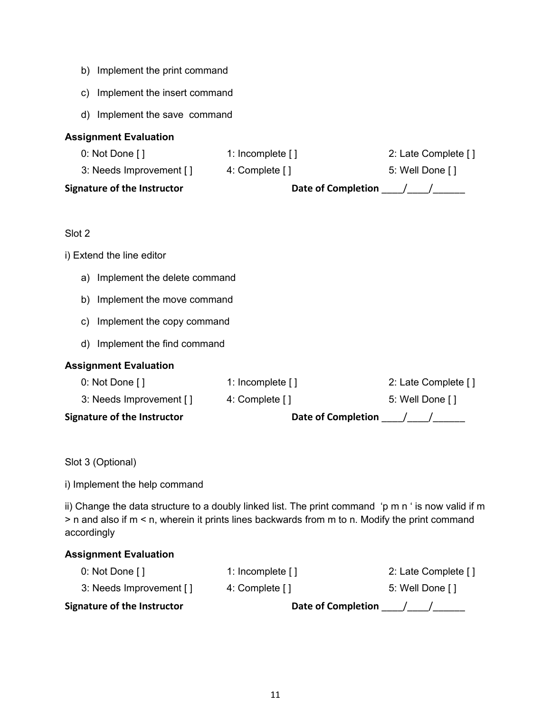- b) Implement the print command
- c) Implement the insert command
- d) Implement the save command

#### **Assignment Evaluation**

| <b>Signature of the Instructor</b> | <b>Date of Completion</b> |                     |  |
|------------------------------------|---------------------------|---------------------|--|
| 3: Needs Improvement []            | 4: Complete []            | 5: Well Done []     |  |
| 0: Not Done $[$ ]                  | 1: Incomplete []          | 2: Late Complete [] |  |

#### Slot 2

#### i) Extend the line editor

- a) Implement the delete command
- b) Implement the move command
- c) Implement the copy command
- d) Implement the find command

#### **Assignment Evaluation**

| <b>Signature of the Instructor</b> | <b>Date of Completion</b> |                     |
|------------------------------------|---------------------------|---------------------|
| 3: Needs Improvement []            | 4: Complete []            | 5: Well Done []     |
| 0: Not Done $\lceil \cdot \rceil$  | 1: Incomplete $[1]$       | 2: Late Complete [] |

Slot 3 (Optional)

i) Implement the help command

ii) Change the data structure to a doubly linked list. The print command 'p m n ' is now valid if m > n and also if m < n, wherein it prints lines backwards from m to n. Modify the print command accordingly

#### **Assignment Evaluation**

| <b>Signature of the Instructor</b> | <b>Date of Completion</b> |                     |
|------------------------------------|---------------------------|---------------------|
| 3: Needs Improvement []            | 4: Complete []            | 5: Well Done []     |
| $0:$ Not Done []                   | 1: Incomplete $[1]$       | 2: Late Complete [] |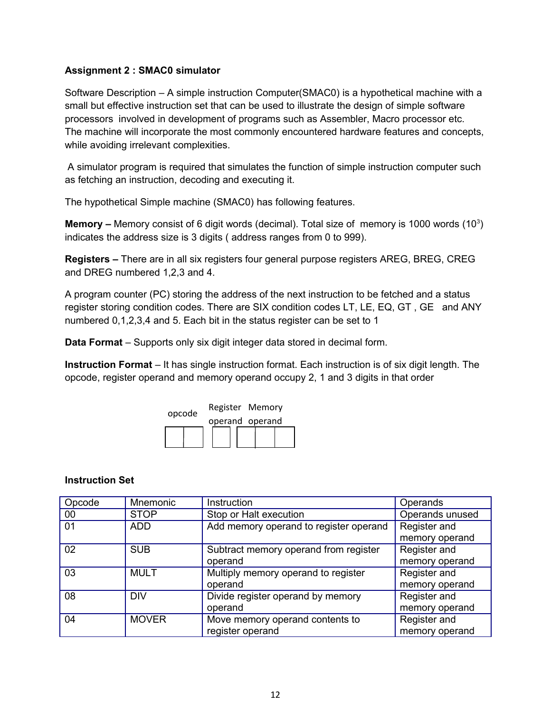#### **Assignment 2 : SMAC0 simulator**

Software Description – A simple instruction Computer(SMAC0) is a hypothetical machine with a small but effective instruction set that can be used to illustrate the design of simple software processors involved in development of programs such as Assembler, Macro processor etc. The machine will incorporate the most commonly encountered hardware features and concepts, while avoiding irrelevant complexities.

 A simulator program is required that simulates the function of simple instruction computer such as fetching an instruction, decoding and executing it.

The hypothetical Simple machine (SMAC0) has following features.

Memory – Memory consist of 6 digit words (decimal). Total size of memory is 1000 words (10<sup>3</sup>) indicates the address size is 3 digits ( address ranges from 0 to 999).

**Registers –** There are in all six registers four general purpose registers AREG, BREG, CREG and DREG numbered 1,2,3 and 4.

A program counter (PC) storing the address of the next instruction to be fetched and a status register storing condition codes. There are SIX condition codes LT, LE, EQ, GT , GE and ANY numbered 0,1,2,3,4 and 5. Each bit in the status register can be set to 1

**Data Format** – Supports only six digit integer data stored in decimal form.

**Instruction Format** – It has single instruction format. Each instruction is of six digit length. The opcode, register operand and memory operand occupy 2, 1 and 3 digits in that order



#### **Instruction Set**

| Opcode | Mnemonic     | Instruction                            | Operands        |
|--------|--------------|----------------------------------------|-----------------|
| 00     | <b>STOP</b>  | Stop or Halt execution                 | Operands unused |
| 01     | <b>ADD</b>   | Add memory operand to register operand | Register and    |
|        |              |                                        | memory operand  |
| 02     | <b>SUB</b>   | Subtract memory operand from register  | Register and    |
|        |              | operand                                | memory operand  |
| 03     | <b>MULT</b>  | Multiply memory operand to register    | Register and    |
|        |              | operand                                | memory operand  |
| 08     | <b>DIV</b>   | Divide register operand by memory      | Register and    |
|        |              | operand                                | memory operand  |
| 04     | <b>MOVER</b> | Move memory operand contents to        | Register and    |
|        |              | register operand                       | memory operand  |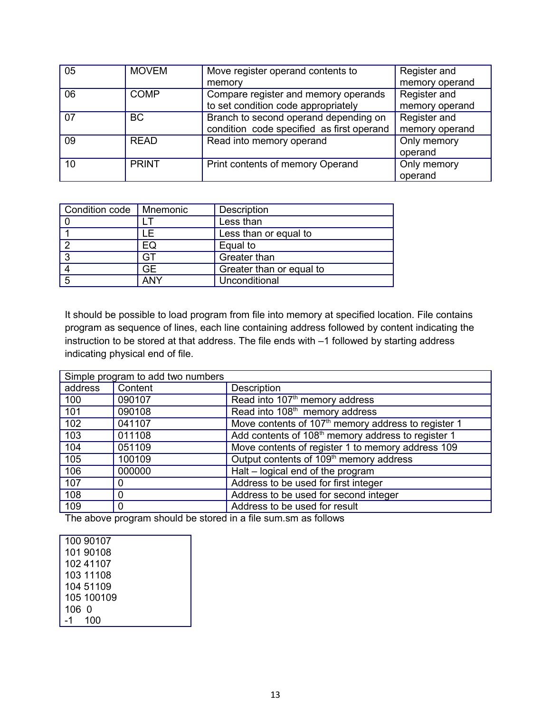| 05 | <b>MOVEM</b> | Move register operand contents to         | Register and   |
|----|--------------|-------------------------------------------|----------------|
|    |              | memory                                    | memory operand |
| 06 | <b>COMP</b>  | Compare register and memory operands      | Register and   |
|    |              | to set condition code appropriately       | memory operand |
| 07 | <b>BC</b>    | Branch to second operand depending on     | Register and   |
|    |              | condition code specified as first operand | memory operand |
| 09 | <b>READ</b>  | Read into memory operand                  | Only memory    |
|    |              |                                           | operand        |
| 10 | <b>PRINT</b> | Print contents of memory Operand          | Only memory    |
|    |              |                                           | operand        |

| Condition code | Mnemonic | Description              |
|----------------|----------|--------------------------|
|                |          | Less than                |
|                |          | Less than or equal to    |
|                | EQ       | Equal to                 |
|                | GT       | Greater than             |
|                | GЕ       | Greater than or equal to |
|                | ANY      | Unconditional            |

It should be possible to load program from file into memory at specified location. File contains program as sequence of lines, each line containing address followed by content indicating the instruction to be stored at that address. The file ends with –1 followed by starting address indicating physical end of file.

| Simple program to add two numbers |          |                                                                 |  |
|-----------------------------------|----------|-----------------------------------------------------------------|--|
| address                           | Content  | Description                                                     |  |
| 100                               | 090107   | Read into 107 <sup>th</sup> memory address                      |  |
| 101                               | 090108   | Read into 108 <sup>th</sup> memory address                      |  |
| 102                               | 041107   | Move contents of 107 <sup>th</sup> memory address to register 1 |  |
| 103                               | 011108   | Add contents of 108 <sup>th</sup> memory address to register 1  |  |
| 104                               | 051109   | Move contents of register 1 to memory address 109               |  |
| 105                               | 100109   | Output contents of 109 <sup>th</sup> memory address             |  |
| 106                               | 000000   | Halt - logical end of the program                               |  |
| 107                               | 0        | Address to be used for first integer                            |  |
| 108                               | $\Omega$ | Address to be used for second integer                           |  |
| 109                               | 0        | Address to be used for result                                   |  |

The above program should be stored in a file sum.sm as follows

| 100 90107  |
|------------|
| 101 90108  |
| 102 41107  |
| 103 11108  |
| 104 51109  |
| 105 100109 |
|            |
| 100        |
|            |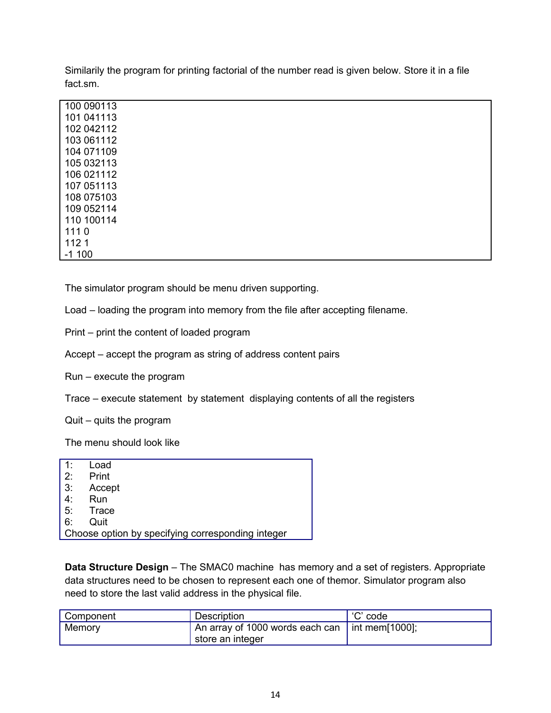Similarily the program for printing factorial of the number read is given below. Store it in a file fact.sm.

| 100 090113 |  |  |  |
|------------|--|--|--|
| 101 041113 |  |  |  |
| 102 042112 |  |  |  |
| 103 061112 |  |  |  |
| 104 071109 |  |  |  |
| 105 032113 |  |  |  |
| 106 021112 |  |  |  |
| 107 051113 |  |  |  |
| 108 075103 |  |  |  |
| 109 052114 |  |  |  |
| 110 100114 |  |  |  |
| 1110       |  |  |  |
| 1121       |  |  |  |
| $-1100$    |  |  |  |
|            |  |  |  |

The simulator program should be menu driven supporting.

Load – loading the program into memory from the file after accepting filename.

Print – print the content of loaded program

Accept – accept the program as string of address content pairs

Run – execute the program

Trace – execute statement by statement displaying contents of all the registers

Quit – quits the program

The menu should look like

| 1: | Load                                              |
|----|---------------------------------------------------|
| 2: | Print                                             |
| 3: | Accept                                            |
| 4: | Run                                               |
| 5: | Trace                                             |
| 6: | Quit                                              |
|    | Choose option by specifying corresponding integer |
|    |                                                   |

**Data Structure Design** – The SMAC0 machine has memory and a set of registers. Appropriate data structures need to be chosen to represent each one of themor. Simulator program also need to store the last valid address in the physical file.

| <sup>1</sup> Component | Description                                                          | 'C' code |
|------------------------|----------------------------------------------------------------------|----------|
| Memory                 | An array of 1000 words each can   int mem[1000];<br>store an integer |          |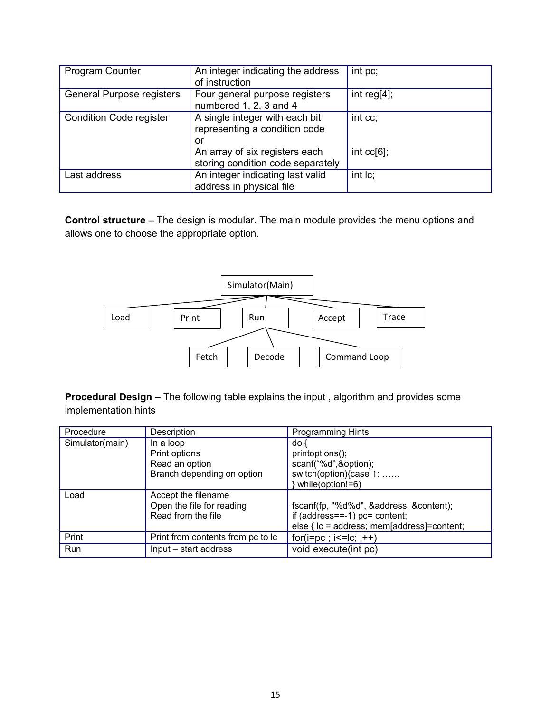| <b>Program Counter</b>         | An integer indicating the address<br>of instruction                                                     | int pc;                  |
|--------------------------------|---------------------------------------------------------------------------------------------------------|--------------------------|
| General Purpose registers      | Four general purpose registers<br>numbered 1, 2, 3 and 4                                                | int reg $[4]$ ;          |
| <b>Condition Code register</b> | A single integer with each bit<br>representing a condition code<br>or<br>An array of six registers each | int cc;<br>int $cc[6]$ ; |
|                                | storing condition code separately                                                                       |                          |
| Last address                   | An integer indicating last valid<br>address in physical file                                            | $int$ $Ic$ ;             |

**Control structure** – The design is modular. The main module provides the menu options and allows one to choose the appropriate option.



**Procedural Design** – The following table explains the input , algorithm and provides some implementation hints

| Procedure       | Description                       | <b>Programming Hints</b>                     |
|-----------------|-----------------------------------|----------------------------------------------|
| Simulator(main) | In a loop                         | do -                                         |
|                 | Print options                     | printoptions();                              |
|                 | Read an option                    | scanf("%d",&option);                         |
|                 | Branch depending on option        | switch(option){case 1:                       |
|                 |                                   | while(option!=6)                             |
| Load            | Accept the filename               |                                              |
|                 | Open the file for reading         | fscanf(fp, "%d%d", &address, &content);      |
|                 | Read from the file                | if $(address==-1)$ pc= content;              |
|                 |                                   | else { $lc =$ address; mem[address]=content; |
| Print           | Print from contents from pc to lc | $for(i = pc; i < =  c; i++)$                 |
| Run             | Input - start address             | void execute(int pc)                         |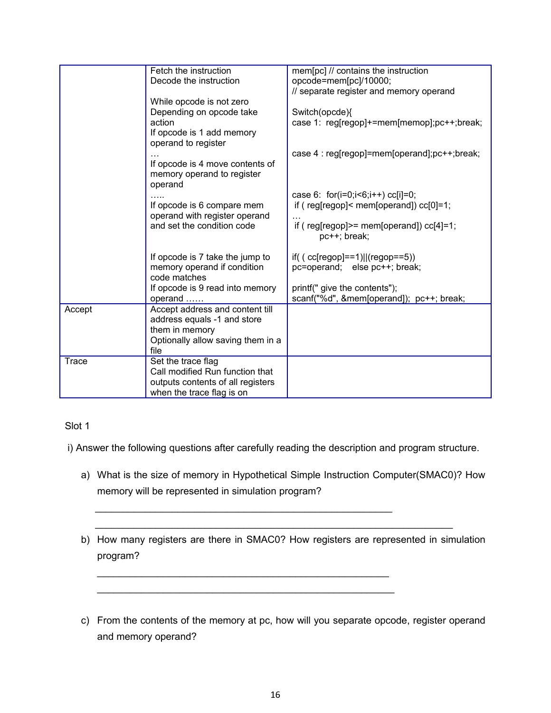|                                 | mem[pc] // contains the instruction                                                                                                                                                                                                                                                                                                                                             |
|---------------------------------|---------------------------------------------------------------------------------------------------------------------------------------------------------------------------------------------------------------------------------------------------------------------------------------------------------------------------------------------------------------------------------|
|                                 | opcode=mem[pc]/10000;                                                                                                                                                                                                                                                                                                                                                           |
|                                 | // separate register and memory operand                                                                                                                                                                                                                                                                                                                                         |
|                                 |                                                                                                                                                                                                                                                                                                                                                                                 |
|                                 |                                                                                                                                                                                                                                                                                                                                                                                 |
|                                 | Switch(opcde){                                                                                                                                                                                                                                                                                                                                                                  |
|                                 | case 1: reg[regop]+=mem[memop];pc++;break;                                                                                                                                                                                                                                                                                                                                      |
|                                 |                                                                                                                                                                                                                                                                                                                                                                                 |
|                                 |                                                                                                                                                                                                                                                                                                                                                                                 |
|                                 | case 4 : reg[regop]=mem[operand];pc++;break;                                                                                                                                                                                                                                                                                                                                    |
|                                 |                                                                                                                                                                                                                                                                                                                                                                                 |
|                                 |                                                                                                                                                                                                                                                                                                                                                                                 |
|                                 |                                                                                                                                                                                                                                                                                                                                                                                 |
|                                 | case 6: for(i=0;i<6;i++) cc[i]=0;                                                                                                                                                                                                                                                                                                                                               |
|                                 | if ( $reg[regop] < mem[operand])$ $cc[0]=1;$                                                                                                                                                                                                                                                                                                                                    |
| operand with register operand   |                                                                                                                                                                                                                                                                                                                                                                                 |
| and set the condition code      | if ( $reg[regop]$ = mem[operand]) $cc[4]=1$ ;                                                                                                                                                                                                                                                                                                                                   |
|                                 | pc++; break;                                                                                                                                                                                                                                                                                                                                                                    |
|                                 |                                                                                                                                                                                                                                                                                                                                                                                 |
| If opcode is 7 take the jump to | if( $(cc[regop] == 1)  (regop == 5))$                                                                                                                                                                                                                                                                                                                                           |
| memory operand if condition     | pc=operand; else pc++; break;                                                                                                                                                                                                                                                                                                                                                   |
| code matches                    |                                                                                                                                                                                                                                                                                                                                                                                 |
| If opcode is 9 read into memory | printf(" give the contents");                                                                                                                                                                                                                                                                                                                                                   |
| operand                         | scanf("%d", &mem[operand]); pc++; break;                                                                                                                                                                                                                                                                                                                                        |
| Accept address and content till |                                                                                                                                                                                                                                                                                                                                                                                 |
| address equals -1 and store     |                                                                                                                                                                                                                                                                                                                                                                                 |
| them in memory                  |                                                                                                                                                                                                                                                                                                                                                                                 |
|                                 |                                                                                                                                                                                                                                                                                                                                                                                 |
| file                            |                                                                                                                                                                                                                                                                                                                                                                                 |
|                                 |                                                                                                                                                                                                                                                                                                                                                                                 |
| Call modified Run function that |                                                                                                                                                                                                                                                                                                                                                                                 |
|                                 |                                                                                                                                                                                                                                                                                                                                                                                 |
| when the trace flag is on       |                                                                                                                                                                                                                                                                                                                                                                                 |
|                                 | Fetch the instruction<br>Decode the instruction<br>While opcode is not zero<br>Depending on opcode take<br>action<br>If opcode is 1 add memory<br>operand to register<br>If opcode is 4 move contents of<br>memory operand to register<br>operand<br>If opcode is 6 compare mem<br>Optionally allow saving them in a<br>Set the trace flag<br>outputs contents of all registers |

#### Slot 1

i) Answer the following questions after carefully reading the description and program structure.

 $\mathcal{L}_\text{max}$  , and the contribution of the contribution of the contribution of the contribution of the contribution of the contribution of the contribution of the contribution of the contribution of the contribution of t

\_\_\_\_\_\_\_\_\_\_\_\_\_\_\_\_\_\_\_\_\_\_\_\_\_\_\_\_\_\_\_\_\_\_\_\_\_\_\_\_\_\_\_\_\_\_\_\_\_\_\_\_\_ \_\_\_\_\_\_\_\_\_\_\_\_\_\_\_\_\_\_\_\_\_\_\_\_\_\_\_\_\_\_\_\_\_\_\_\_\_\_\_\_\_\_\_\_\_\_\_\_\_\_\_\_\_\_

 $\mathcal{L} = \{ \mathcal{L} = \{ \mathcal{L} \mid \mathcal{L} = \{ \mathcal{L} \mid \mathcal{L} = \{ \mathcal{L} \mid \mathcal{L} = \{ \mathcal{L} \mid \mathcal{L} = \{ \mathcal{L} \mid \mathcal{L} = \{ \mathcal{L} \mid \mathcal{L} = \{ \mathcal{L} \mid \mathcal{L} = \{ \mathcal{L} \mid \mathcal{L} = \{ \mathcal{L} \mid \mathcal{L} = \{ \mathcal{L} \mid \mathcal{L} = \{ \mathcal{L} \mid \mathcal{L} = \{ \mathcal{L} \mid \mathcal{L} =$ 

- a) What is the size of memory in Hypothetical Simple Instruction Computer(SMAC0)? How memory will be represented in simulation program?
- b) How many registers are there in SMAC0? How registers are represented in simulation program?
- c) From the contents of the memory at pc, how will you separate opcode, register operand and memory operand?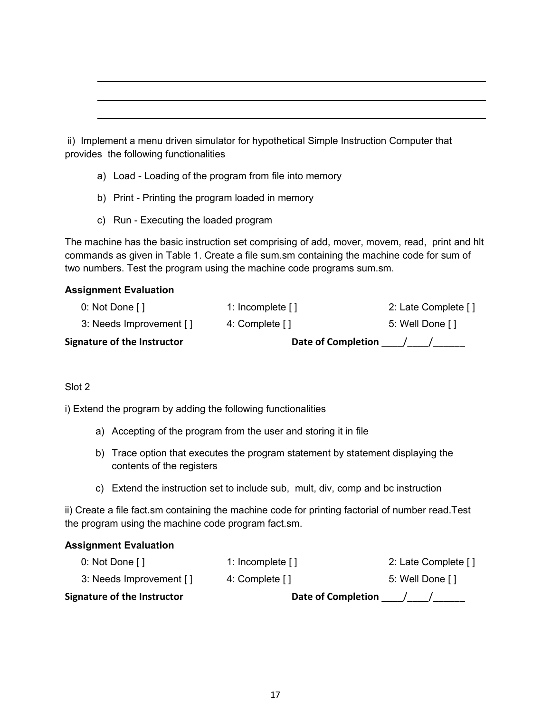ii) Implement a menu driven simulator for hypothetical Simple Instruction Computer that provides the following functionalities

- a) Load Loading of the program from file into memory
- b) Print Printing the program loaded in memory
- c) Run Executing the loaded program

The machine has the basic instruction set comprising of add, mover, movem, read, print and hlt commands as given in Table 1. Create a file sum.sm containing the machine code for sum of two numbers. Test the program using the machine code programs sum.sm.

#### **Assignment Evaluation**

| <b>Signature of the Instructor</b> | <b>Date of Completion</b> |                     |
|------------------------------------|---------------------------|---------------------|
| 3: Needs Improvement []            | 4: Complete []            | 5: Well Done []     |
| 0: Not Done $\lceil \cdot \rceil$  | 1: Incomplete $[1]$       | 2: Late Complete [] |

#### Slot 2

i) Extend the program by adding the following functionalities

- a) Accepting of the program from the user and storing it in file
- b) Trace option that executes the program statement by statement displaying the contents of the registers
- c) Extend the instruction set to include sub, mult, div, comp and bc instruction

ii) Create a file fact.sm containing the machine code for printing factorial of number read.Test the program using the machine code program fact.sm.

#### **Assignment Evaluation**

| <b>Signature of the Instructor</b> | <b>Date of Completion</b> |                     |
|------------------------------------|---------------------------|---------------------|
| 3: Needs Improvement []            | 4: Complete []            | 5: Well Done []     |
| 0: Not Done $\lceil \cdot \rceil$  | 1: Incomplete $[1]$       | 2: Late Complete [] |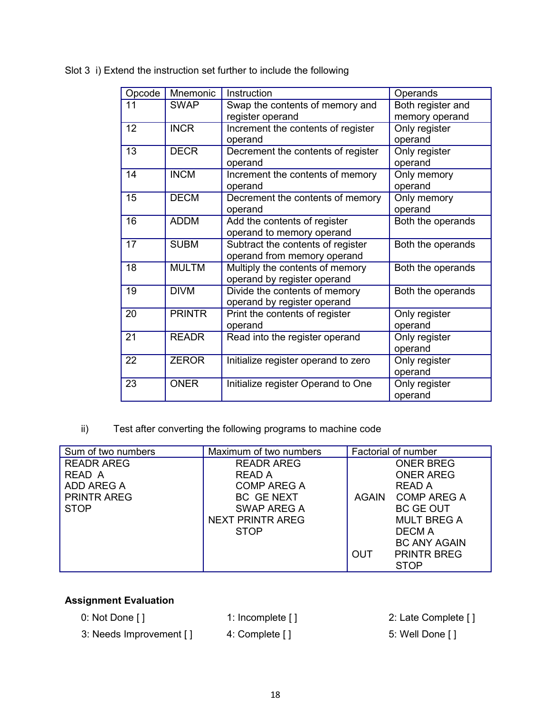| Opcode | <b>Mnemonic</b> | Instruction                         | Operands          |
|--------|-----------------|-------------------------------------|-------------------|
| 11     | <b>SWAP</b>     | Swap the contents of memory and     | Both register and |
|        |                 | register operand                    | memory operand    |
| 12     | <b>INCR</b>     | Increment the contents of register  | Only register     |
|        |                 | operand                             | operand           |
| 13     | <b>DECR</b>     | Decrement the contents of register  | Only register     |
|        |                 | operand                             | operand           |
| 14     | <b>INCM</b>     | Increment the contents of memory    | Only memory       |
|        |                 | operand                             | operand           |
| 15     | <b>DECM</b>     | Decrement the contents of memory    | Only memory       |
|        |                 | operand                             | operand           |
| 16     | <b>ADDM</b>     | Add the contents of register        | Both the operands |
|        |                 | operand to memory operand           |                   |
| 17     | <b>SUBM</b>     | Subtract the contents of register   | Both the operands |
|        |                 | operand from memory operand         |                   |
| 18     | <b>MULTM</b>    | Multiply the contents of memory     | Both the operands |
|        |                 | operand by register operand         |                   |
| 19     | <b>DIVM</b>     | Divide the contents of memory       | Both the operands |
|        |                 | operand by register operand         |                   |
| 20     | <b>PRINTR</b>   | Print the contents of register      | Only register     |
|        |                 | operand                             | operand           |
| 21     | <b>READR</b>    | Read into the register operand      | Only register     |
|        |                 |                                     | operand           |
| 22     | <b>ZEROR</b>    | Initialize register operand to zero | Only register     |
|        |                 |                                     | operand           |
| 23     | <b>ONER</b>     | Initialize register Operand to One  | Only register     |
|        |                 |                                     | operand           |

Slot 3 i) Extend the instruction set further to include the following

ii) Test after converting the following programs to machine code

| Sum of two numbers | Maximum of two numbers  |              | Factorial of number |
|--------------------|-------------------------|--------------|---------------------|
| <b>READR AREG</b>  | <b>READR AREG</b>       |              | <b>ONER BREG</b>    |
| READ A             | READ A                  |              | <b>ONER AREG</b>    |
| ADD AREG A         | COMP AREG A             |              | READ A              |
| <b>PRINTR AREG</b> | BC GENEXT               | <b>AGAIN</b> | <b>COMP AREG A</b>  |
| <b>STOP</b>        | SWAP AREG A             |              | <b>BC GE OUT</b>    |
|                    | <b>NEXT PRINTR AREG</b> |              | <b>MULT BREG A</b>  |
|                    | <b>STOP</b>             |              | DECM A              |
|                    |                         |              | <b>BC ANY AGAIN</b> |
|                    |                         | <b>OUT</b>   | <b>PRINTR BREG</b>  |
|                    |                         |              | <b>STOP</b>         |

#### **Assignment Evaluation**

- 3: Needs Improvement [ ] 4: Complete [ ] 3: Needs Improvement [ ]
- 0: Not Done [] 1: Incomplete [] 2: Late Complete []
	-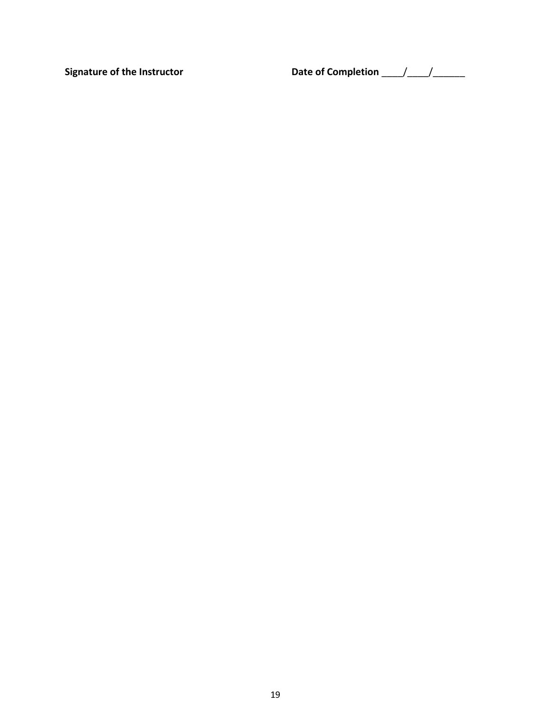Signature of the Instructor **Date of Completion**  $\frac{1}{2}$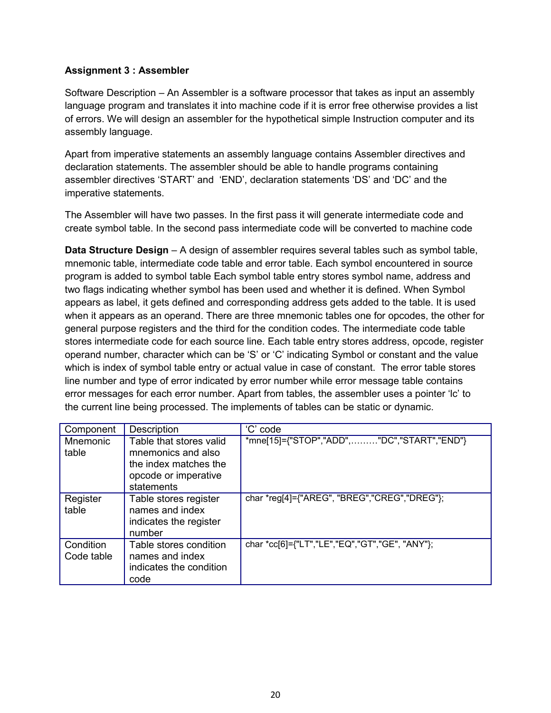#### **Assignment 3 : Assembler**

Software Description – An Assembler is a software processor that takes as input an assembly language program and translates it into machine code if it is error free otherwise provides a list of errors. We will design an assembler for the hypothetical simple Instruction computer and its assembly language.

Apart from imperative statements an assembly language contains Assembler directives and declaration statements. The assembler should be able to handle programs containing assembler directives 'START' and 'END', declaration statements 'DS' and 'DC' and the imperative statements.

The Assembler will have two passes. In the first pass it will generate intermediate code and create symbol table. In the second pass intermediate code will be converted to machine code

**Data Structure Design** – A design of assembler requires several tables such as symbol table, mnemonic table, intermediate code table and error table. Each symbol encountered in source program is added to symbol table Each symbol table entry stores symbol name, address and two flags indicating whether symbol has been used and whether it is defined. When Symbol appears as label, it gets defined and corresponding address gets added to the table. It is used when it appears as an operand. There are three mnemonic tables one for opcodes, the other for general purpose registers and the third for the condition codes. The intermediate code table stores intermediate code for each source line. Each table entry stores address, opcode, register operand number, character which can be 'S' or 'C' indicating Symbol or constant and the value which is index of symbol table entry or actual value in case of constant. The error table stores line number and type of error indicated by error number while error message table contains error messages for each error number. Apart from tables, the assembler uses a pointer 'lc' to the current line being processed. The implements of tables can be static or dynamic.

| Component                | Description                                                                                                  | 'C' code                                       |
|--------------------------|--------------------------------------------------------------------------------------------------------------|------------------------------------------------|
| <b>Mnemonic</b><br>table | Table that stores valid<br>mnemonics and also<br>the index matches the<br>opcode or imperative<br>statements | *mne[15]={"STOP","ADD","DC","START","END"}     |
| Register<br>table        | Table stores register<br>names and index<br>indicates the register<br>number                                 | char *reg[4]={"AREG", "BREG","CREG","DREG"};   |
| Condition<br>Code table  | Table stores condition<br>names and index<br>indicates the condition<br>code                                 | char *cc[6]={"LT","LE","EQ","GT","GE", "ANY"}; |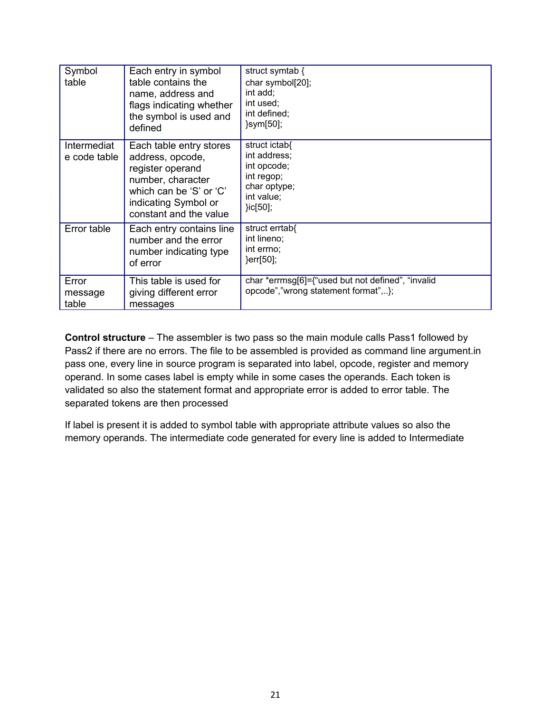| Symbol<br>table             | Each entry in symbol<br>table contains the<br>name, address and<br>flags indicating whether<br>the symbol is used and<br>defined                                  | struct symtab {<br>char symbol[20];<br>int add;<br>int used;<br>int defined;<br>}sym[50];                |
|-----------------------------|-------------------------------------------------------------------------------------------------------------------------------------------------------------------|----------------------------------------------------------------------------------------------------------|
| Intermediat<br>e code table | Each table entry stores<br>address, opcode,<br>register operand<br>number, character<br>which can be 'S' or 'C'<br>indicating Symbol or<br>constant and the value | struct ictab{<br>int address;<br>int opcode;<br>int regop;<br>char optype;<br>int value;<br>$]i c[50]$ ; |
| Error table                 | Each entry contains line<br>number and the error<br>number indicating type<br>of error                                                                            | struct errtab{<br>int lineno;<br>int errno;<br>}err[50];                                                 |
| Error<br>message<br>table   | This table is used for<br>giving different error<br>messages                                                                                                      | char *errmsg[6]={"used but not defined", "invalid<br>opcode","wrong statement format",};                 |

**Control structure** – The assembler is two pass so the main module calls Pass1 followed by Pass2 if there are no errors. The file to be assembled is provided as command line argument.in pass one, every line in source program is separated into label, opcode, register and memory operand. In some cases label is empty while in some cases the operands. Each token is validated so also the statement format and appropriate error is added to error table. The separated tokens are then processed

If label is present it is added to symbol table with appropriate attribute values so also the memory operands. The intermediate code generated for every line is added to Intermediate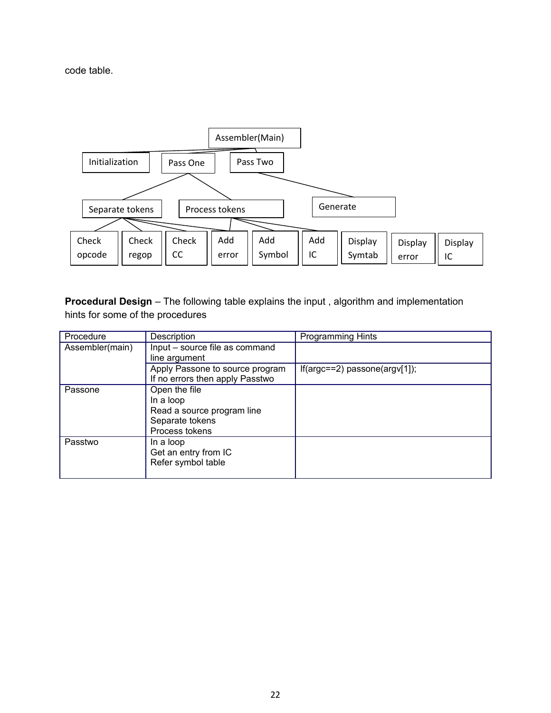code table.



**Procedural Design** – The following table explains the input, algorithm and implementation hints for some of the procedures

| Procedure       | Description                     | <b>Programming Hints</b>            |
|-----------------|---------------------------------|-------------------------------------|
| Assembler(main) | Input - source file as command  |                                     |
|                 | line argument                   |                                     |
|                 | Apply Passone to source program | $If(argc==2)$ passone $(argv[1])$ ; |
|                 | If no errors then apply Passtwo |                                     |
| Passone         | Open the file                   |                                     |
|                 | In a loop                       |                                     |
|                 | Read a source program line      |                                     |
|                 | Separate tokens                 |                                     |
|                 | Process tokens                  |                                     |
| Passtwo         | In a loop                       |                                     |
|                 | Get an entry from IC            |                                     |
|                 | Refer symbol table              |                                     |
|                 |                                 |                                     |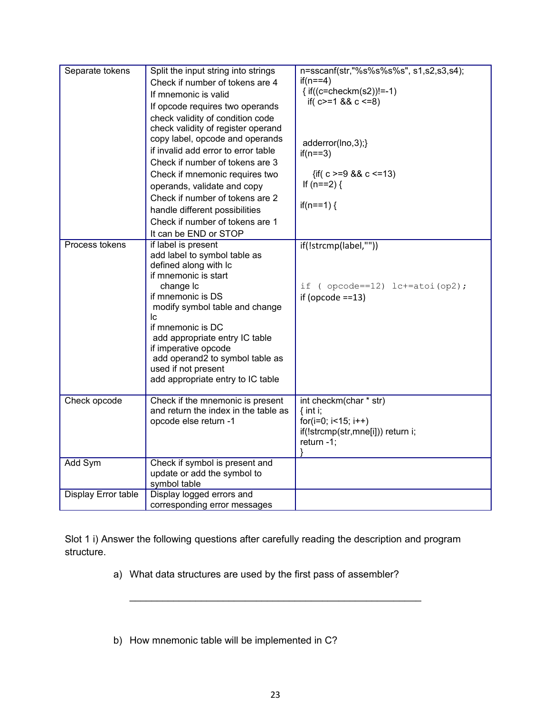| Separate tokens     | Split the input string into strings<br>Check if number of tokens are 4<br>If mnemonic is valid<br>If opcode requires two operands<br>check validity of condition code<br>check validity of register operand<br>copy label, opcode and operands<br>if invalid add error to error table<br>Check if number of tokens are 3<br>Check if mnemonic requires two<br>operands, validate and copy<br>Check if number of tokens are 2<br>handle different possibilities<br>Check if number of tokens are 1<br>It can be END or STOP | n=sscanf(str,"%s%s%s%s", s1,s2,s3,s4);<br>$if(n==4)$<br>{ if((c=checkm(s2))!=-1)<br>if( $c>=1$ && $c == 8$ )<br>adderror(lno,3);}<br>$if(n==3)$<br>{if( $c = 9$ && $c \le 13$ )<br>If $(n == 2)$ {<br>if(n==1) $\{$ |
|---------------------|----------------------------------------------------------------------------------------------------------------------------------------------------------------------------------------------------------------------------------------------------------------------------------------------------------------------------------------------------------------------------------------------------------------------------------------------------------------------------------------------------------------------------|---------------------------------------------------------------------------------------------------------------------------------------------------------------------------------------------------------------------|
| Process tokens      | if label is present<br>add label to symbol table as<br>defined along with Ic<br>if mnemonic is start<br>change Ic<br>if mnemonic is DS<br>modify symbol table and change<br>Ic<br>if mnemonic is DC<br>add appropriate entry IC table<br>if imperative opcode<br>add operand2 to symbol table as<br>used if not present<br>add appropriate entry to IC table                                                                                                                                                               | if(!strcmp(label,""))<br>if ( $opcode==12)$ $lc+=atoi(op2)$ ;<br>if (opcode $==13$ )                                                                                                                                |
| Check opcode        | Check if the mnemonic is present<br>and return the index in the table as<br>opcode else return -1                                                                                                                                                                                                                                                                                                                                                                                                                          | int checkm(char * str)<br>$\{$ int i;<br>for( $i=0$ ; $i<15$ ; $i++$ )<br>if(!strcmp(str,mne[i])) return i;<br>return $-1$ ;                                                                                        |
| Add Sym             | Check if symbol is present and<br>update or add the symbol to<br>symbol table                                                                                                                                                                                                                                                                                                                                                                                                                                              |                                                                                                                                                                                                                     |
| Display Error table | Display logged errors and<br>corresponding error messages                                                                                                                                                                                                                                                                                                                                                                                                                                                                  |                                                                                                                                                                                                                     |

Slot 1 i) Answer the following questions after carefully reading the description and program structure.

- a) What data structures are used by the first pass of assembler?
- b) How mnemonic table will be implemented in C?

\_\_\_\_\_\_\_\_\_\_\_\_\_\_\_\_\_\_\_\_\_\_\_\_\_\_\_\_\_\_\_\_\_\_\_\_\_\_\_\_\_\_\_\_\_\_\_\_\_\_\_\_\_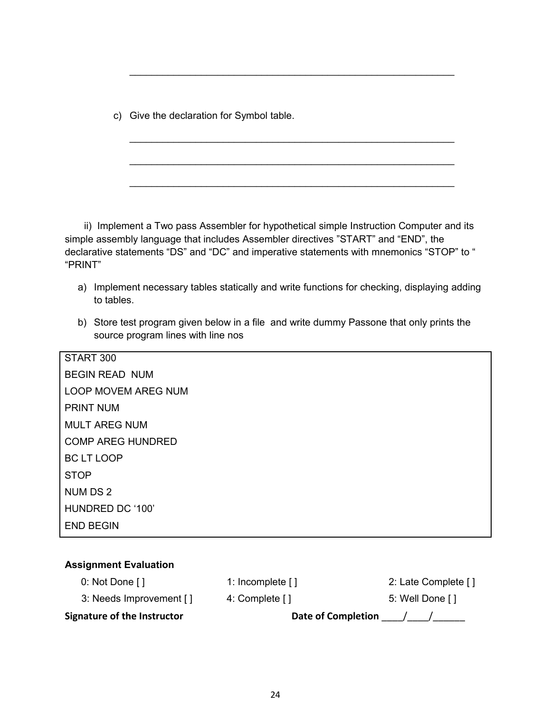c) Give the declaration for Symbol table.

 ii) Implement a Two pass Assembler for hypothetical simple Instruction Computer and its simple assembly language that includes Assembler directives "START" and "END", the declarative statements "DS" and "DC" and imperative statements with mnemonics "STOP" to " "PRINT"

\_\_\_\_\_\_\_\_\_\_\_\_\_\_\_\_\_\_\_\_\_\_\_\_\_\_\_\_\_\_\_\_\_\_\_\_\_\_\_\_\_\_\_\_\_\_\_\_\_\_\_\_\_\_\_\_\_\_\_

\_\_\_\_\_\_\_\_\_\_\_\_\_\_\_\_\_\_\_\_\_\_\_\_\_\_\_\_\_\_\_\_\_\_\_\_\_\_\_\_\_\_\_\_\_\_\_\_\_\_\_\_\_\_\_\_\_\_\_

\_\_\_\_\_\_\_\_\_\_\_\_\_\_\_\_\_\_\_\_\_\_\_\_\_\_\_\_\_\_\_\_\_\_\_\_\_\_\_\_\_\_\_\_\_\_\_\_\_\_\_\_\_\_\_\_\_\_\_

\_\_\_\_\_\_\_\_\_\_\_\_\_\_\_\_\_\_\_\_\_\_\_\_\_\_\_\_\_\_\_\_\_\_\_\_\_\_\_\_\_\_\_\_\_\_\_\_\_\_\_\_\_\_\_\_\_\_\_

- a) Implement necessary tables statically and write functions for checking, displaying adding to tables.
- b) Store test program given below in a file and write dummy Passone that only prints the source program lines with line nos

| START 300                  |
|----------------------------|
| <b>BEGIN READ NUM</b>      |
| <b>LOOP MOVEM AREG NUM</b> |
| <b>PRINT NUM</b>           |
| <b>MULT AREG NUM</b>       |
| <b>COMP AREG HUNDRED</b>   |
| <b>BC LT LOOP</b>          |
| <b>STOP</b>                |
| <b>NUMDS2</b>              |
| HUNDRED DC '100'           |
| <b>END BEGIN</b>           |
|                            |

| <b>Assignment Evaluation</b> |                           |                     |
|------------------------------|---------------------------|---------------------|
| 0: Not Done $[$ ]            | 1: Incomplete []          | 2: Late Complete [] |
| 3: Needs Improvement []      | 4: Complete []            | 5: Well Done []     |
| Signature of the Instructor  | <b>Date of Completion</b> |                     |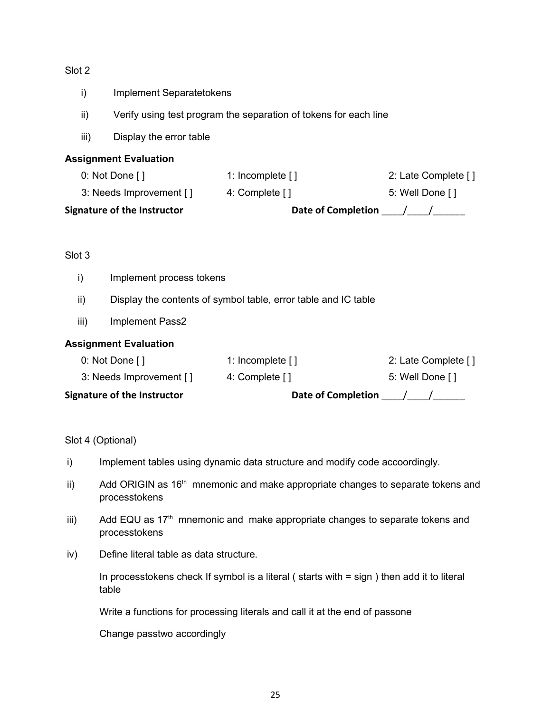#### Slot 2

- i) Implement Separatetokens
- ii) Verify using test program the separation of tokens for each line
- iii) Display the error table

#### **Assignment Evaluation**

| <b>Signature of the Instructor</b> | <b>Date of Completion</b> |                     |
|------------------------------------|---------------------------|---------------------|
| 3: Needs Improvement []            | 4: Complete []            | 5: Well Done []     |
| $0:$ Not Done [ ]                  | 1: Incomplete $[1]$       | 2: Late Complete [] |

#### Slot 3

- i) Implement process tokens
- ii) Display the contents of symbol table, error table and IC table
- iii) Implement Pass2

#### **Assignment Evaluation**

| <b>Signature of the Instructor</b> | <b>Date of Completion</b> |                     |
|------------------------------------|---------------------------|---------------------|
| 3: Needs Improvement []            | 4: Complete []            | 5: Well Done []     |
| 0: Not Done $\lceil \cdot \rceil$  | 1: Incomplete $[1]$       | 2: Late Complete [] |

Slot 4 (Optional)

- i) Implement tables using dynamic data structure and modify code accoordingly.
- ii) Add ORIGIN as  $16<sup>th</sup>$  mnemonic and make appropriate changes to separate tokens and processtokens
- iii) Add EQU as  $17<sup>th</sup>$  mnemonic and make appropriate changes to separate tokens and processtokens
- iv) Define literal table as data structure.

In processtokens check If symbol is a literal ( starts with = sign ) then add it to literal table

Write a functions for processing literals and call it at the end of passone

Change passtwo accordingly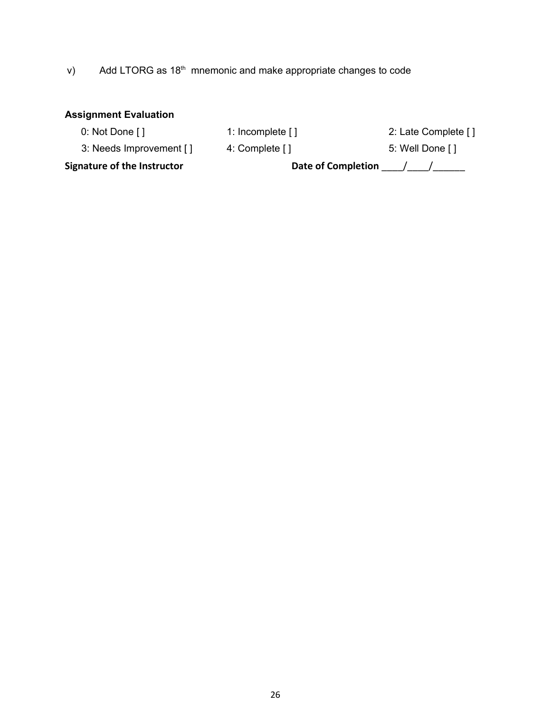# v) Add LTORG as 18<sup>th</sup> mnemonic and make appropriate changes to code

#### **Assignment Evaluation**

0: Not Done [ ] 1: Incomplete [ ] 2: Late Complete [ ]

3: Needs Improvement [ ] 4: Complete [ ] 3: Needs Improvement [ ]

Signature of the Instructor **Date of Completion**  $\frac{1}{2}$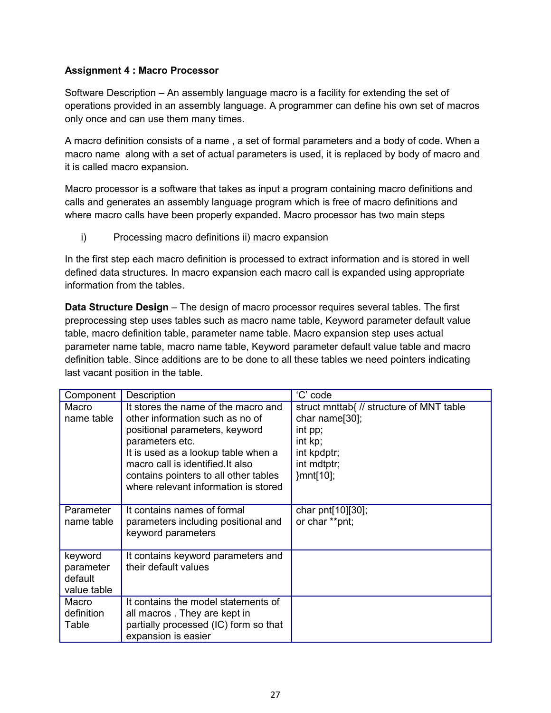#### **Assignment 4 : Macro Processor**

Software Description – An assembly language macro is a facility for extending the set of operations provided in an assembly language. A programmer can define his own set of macros only once and can use them many times.

A macro definition consists of a name , a set of formal parameters and a body of code. When a macro name along with a set of actual parameters is used, it is replaced by body of macro and it is called macro expansion.

Macro processor is a software that takes as input a program containing macro definitions and calls and generates an assembly language program which is free of macro definitions and where macro calls have been properly expanded. Macro processor has two main steps

i) Processing macro definitions ii) macro expansion

In the first step each macro definition is processed to extract information and is stored in well defined data structures. In macro expansion each macro call is expanded using appropriate information from the tables.

**Data Structure Design** – The design of macro processor requires several tables. The first preprocessing step uses tables such as macro name table, Keyword parameter default value table, macro definition table, parameter name table. Macro expansion step uses actual parameter name table, macro name table, Keyword parameter default value table and macro definition table. Since additions are to be done to all these tables we need pointers indicating last vacant position in the table.

| Component                                      | Description                                                                                                                                                                                                                                                                              | 'C' code                                                                                                                    |
|------------------------------------------------|------------------------------------------------------------------------------------------------------------------------------------------------------------------------------------------------------------------------------------------------------------------------------------------|-----------------------------------------------------------------------------------------------------------------------------|
| Macro<br>name table                            | It stores the name of the macro and<br>other information such as no of<br>positional parameters, keyword<br>parameters etc.<br>It is used as a lookup table when a<br>macro call is identified. It also<br>contains pointers to all other tables<br>where relevant information is stored | struct mnttab{ // structure of MNT table<br>char name[30];<br>int pp;<br>int kp;<br>int kpdptr;<br>int mdtptr;<br>}mnt[10]; |
| Parameter<br>name table                        | It contains names of formal<br>parameters including positional and<br>keyword parameters                                                                                                                                                                                                 | char pnt[10][30];<br>or char **pnt;                                                                                         |
| keyword<br>parameter<br>default<br>value table | It contains keyword parameters and<br>their default values                                                                                                                                                                                                                               |                                                                                                                             |
| Macro<br>definition<br>Table                   | It contains the model statements of<br>all macros. They are kept in<br>partially processed (IC) form so that<br>expansion is easier                                                                                                                                                      |                                                                                                                             |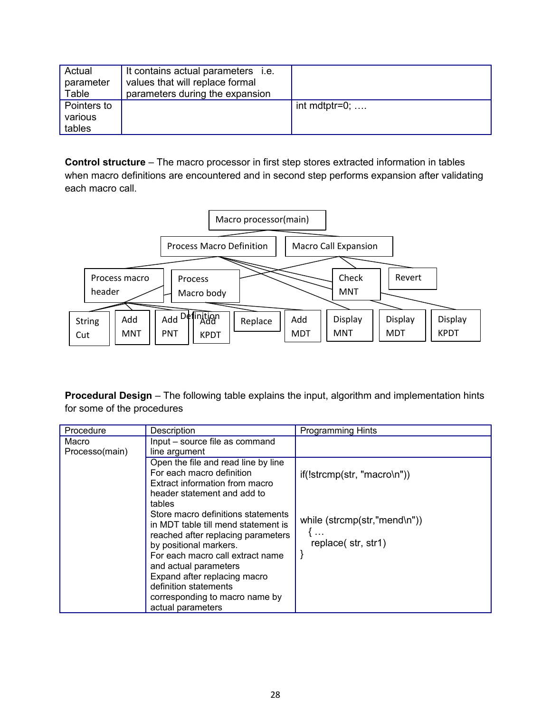| Actual      | It contains actual parameters i.e. |                       |
|-------------|------------------------------------|-----------------------|
| parameter   | values that will replace formal    |                       |
| Table       | parameters during the expansion    |                       |
| Pointers to |                                    | int mdtptr=0; $\dots$ |
| various     |                                    |                       |
| tables      |                                    |                       |

**Control structure** – The macro processor in first step stores extracted information in tables when macro definitions are encountered and in second step performs expansion after validating each macro call.



**Procedural Design** – The following table explains the input, algorithm and implementation hints for some of the procedures

| Procedure               | Description                                                                                                                                                                                                                                                                      | <b>Programming Hints</b>                            |
|-------------------------|----------------------------------------------------------------------------------------------------------------------------------------------------------------------------------------------------------------------------------------------------------------------------------|-----------------------------------------------------|
| Macro<br>Processo(main) | Input - source file as command<br>line argument                                                                                                                                                                                                                                  |                                                     |
|                         | Open the file and read line by line<br>For each macro definition<br>Extract information from macro<br>header statement and add to<br>tables<br>Store macro definitions statements                                                                                                | $if(!stromp(str, "macro\n")$                        |
|                         | in MDT table till mend statement is<br>reached after replacing parameters<br>by positional markers.<br>For each macro call extract name<br>and actual parameters<br>Expand after replacing macro<br>definition statements<br>corresponding to macro name by<br>actual parameters | while (strcmp(str,"mend\n"))<br>replace (str, str1) |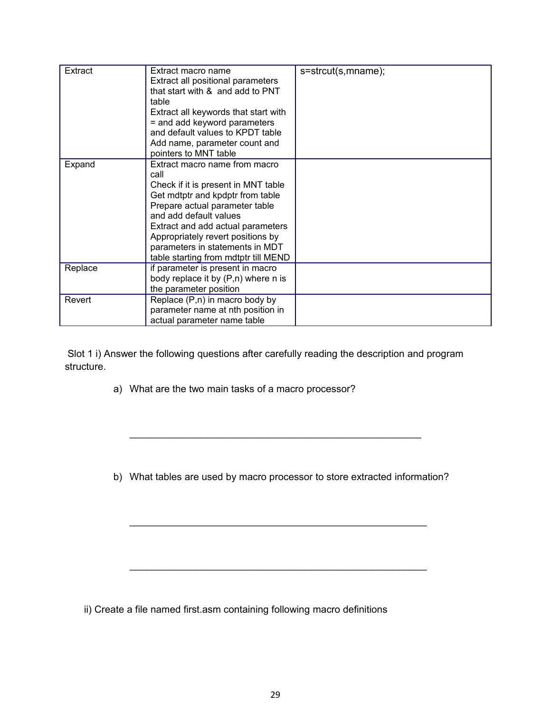| Extract | Extract macro name<br>Extract all positional parameters<br>that start with & and add to PNT<br>table<br>Extract all keywords that start with<br>= and add keyword parameters<br>and default values to KPDT table<br>Add name, parameter count and<br>pointers to MNT table                                                        | s=strcut(s,mname); |
|---------|-----------------------------------------------------------------------------------------------------------------------------------------------------------------------------------------------------------------------------------------------------------------------------------------------------------------------------------|--------------------|
| Expand  | Extract macro name from macro<br>call<br>Check if it is present in MNT table<br>Get mdtptr and kpdptr from table<br>Prepare actual parameter table<br>and add default values<br>Extract and add actual parameters<br>Appropriately revert positions by<br>parameters in statements in MDT<br>table starting from mdtptr till MEND |                    |
| Replace | if parameter is present in macro<br>body replace it by (P,n) where n is<br>the parameter position                                                                                                                                                                                                                                 |                    |
| Revert  | Replace (P,n) in macro body by<br>parameter name at nth position in<br>actual parameter name table                                                                                                                                                                                                                                |                    |

 Slot 1 i) Answer the following questions after carefully reading the description and program structure.

a) What are the two main tasks of a macro processor?

b) What tables are used by macro processor to store extracted information?

\_\_\_\_\_\_\_\_\_\_\_\_\_\_\_\_\_\_\_\_\_\_\_\_\_\_\_\_\_\_\_\_\_\_\_\_\_\_\_\_\_\_\_\_\_\_\_\_\_\_\_\_\_\_

\_\_\_\_\_\_\_\_\_\_\_\_\_\_\_\_\_\_\_\_\_\_\_\_\_\_\_\_\_\_\_\_\_\_\_\_\_\_\_\_\_\_\_\_\_\_\_\_\_\_\_\_\_\_

\_\_\_\_\_\_\_\_\_\_\_\_\_\_\_\_\_\_\_\_\_\_\_\_\_\_\_\_\_\_\_\_\_\_\_\_\_\_\_\_\_\_\_\_\_\_\_\_\_\_\_\_\_

ii) Create a file named first.asm containing following macro definitions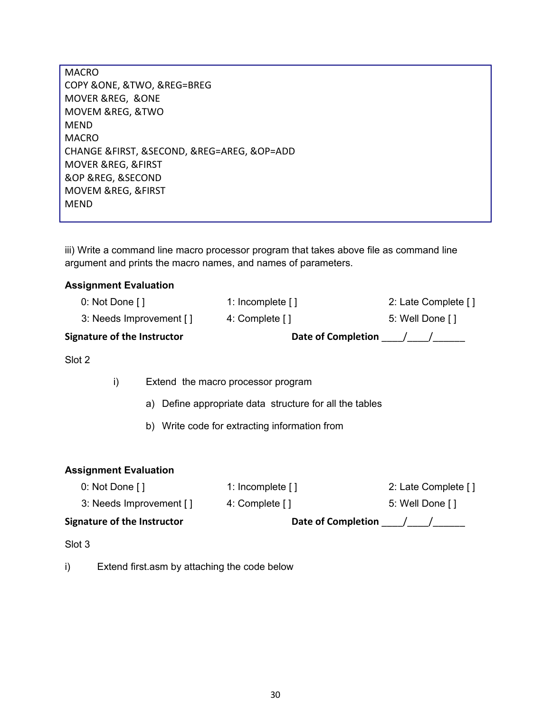MACRO COPY &ONE, &TWO, &REG=BREG MOVER &REG, &ONE MOVEM &REG, &TWO MEND MACRO CHANGE &FIRST, &SECOND, &REG=AREG, &OP=ADD MOVER &REG, &FIRST &OP &REG, &SECOND MOVEM &REG, &FIRST MEND

iii) Write a command line macro processor program that takes above file as command line argument and prints the macro names, and names of parameters.

#### **Assignment Evaluation**

| <b>Signature of the Instructor</b> | <b>Date of Completion</b> |                     |
|------------------------------------|---------------------------|---------------------|
| 3: Needs Improvement []            | 4: Complete []            | 5: Well Done []     |
| $0:$ Not Done $[$ ]                | 1: Incomplete $[1]$       | 2: Late Complete [] |

Slot 2

i) Extend the macro processor program

a) Define appropriate data structure for all the tables

b) Write code for extracting information from

#### **Assignment Evaluation**

| Signature of the Instructor | <b>Date of Completion</b> |                     |
|-----------------------------|---------------------------|---------------------|
| 3: Needs Improvement []     | 4: Complete []            | 5: Well Done []     |
| $0:$ Not Done [ ]           | 1: Incomplete $[1]$       | 2: Late Complete [] |

Slot 3

i) Extend first.asm by attaching the code below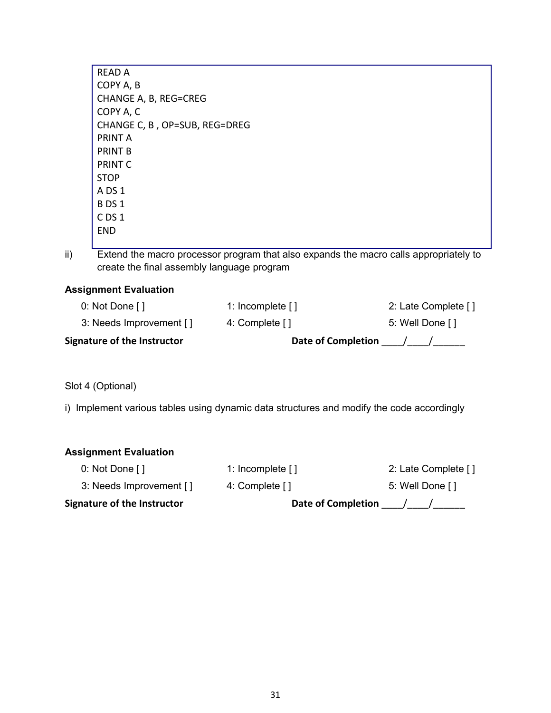| RFAD A                        |
|-------------------------------|
| COPY A, B                     |
| CHANGE A, B, REG=CREG         |
| COPY A, C                     |
| CHANGE C, B, OP=SUB, REG=DREG |
| PRINT A                       |
| PRINT B                       |
| <b>PRINT C</b>                |
| <b>STOP</b>                   |
| A DS 1                        |
| <b>BDS1</b>                   |
| C DS 1                        |
| FND                           |
|                               |

ii) Extend the macro processor program that also expands the macro calls appropriately to create the final assembly language program

### **Assignment Evaluation**

| <b>Signature of the Instructor</b> | <b>Date of Completion</b> |                     |
|------------------------------------|---------------------------|---------------------|
| 3: Needs Improvement []            | 4: Complete []            | 5: Well Done []     |
| 0: Not Done $[$ ]                  | 1: Incomplete $[1]$       | 2: Late Complete [] |

Slot 4 (Optional)

i) Implement various tables using dynamic data structures and modify the code accordingly

| <b>Assignment Evaluation</b>      |                           |                     |
|-----------------------------------|---------------------------|---------------------|
| 0: Not Done $\lceil \cdot \rceil$ | 1: Incomplete $[$ ]       | 2: Late Complete [] |
| 3: Needs Improvement []           | 4: Complete []            | 5: Well Done []     |
| Signature of the Instructor       | <b>Date of Completion</b> |                     |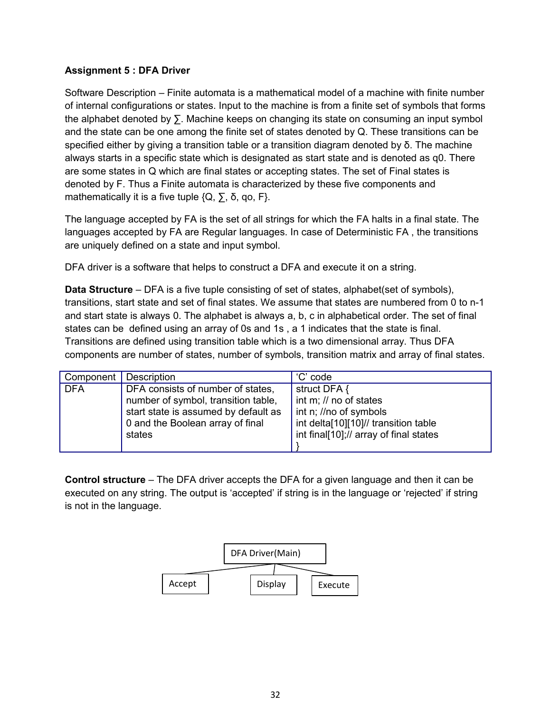#### **Assignment 5 : DFA Driver**

Software Description – Finite automata is a mathematical model of a machine with finite number of internal configurations or states. Input to the machine is from a finite set of symbols that forms the alphabet denoted by ∑. Machine keeps on changing its state on consuming an input symbol and the state can be one among the finite set of states denoted by Q. These transitions can be specified either by giving a transition table or a transition diagram denoted by  $\delta$ . The machine always starts in a specific state which is designated as start state and is denoted as q0. There are some states in Q which are final states or accepting states. The set of Final states is denoted by F. Thus a Finite automata is characterized by these five components and mathematically it is a five tuple  $\{Q, \sum, \delta, qo, F\}$ .

The language accepted by FA is the set of all strings for which the FA halts in a final state. The languages accepted by FA are Regular languages. In case of Deterministic FA , the transitions are uniquely defined on a state and input symbol.

DFA driver is a software that helps to construct a DFA and execute it on a string.

**Data Structure** – DFA is a five tuple consisting of set of states, alphabet (set of symbols), transitions, start state and set of final states. We assume that states are numbered from 0 to n-1 and start state is always 0. The alphabet is always a, b, c in alphabetical order. The set of final states can be defined using an array of 0s and 1s , a 1 indicates that the state is final. Transitions are defined using transition table which is a two dimensional array. Thus DFA components are number of states, number of symbols, transition matrix and array of final states.

| Component  | Description                                                                                                                                                    | 'C' code                                                                                                                                           |
|------------|----------------------------------------------------------------------------------------------------------------------------------------------------------------|----------------------------------------------------------------------------------------------------------------------------------------------------|
| <b>DFA</b> | DFA consists of number of states,<br>number of symbol, transition table,<br>start state is assumed by default as<br>0 and the Boolean array of final<br>states | struct DFA {<br>int m; // no of states<br>int n; //no of symbols<br>int delta[10][10]// transition table<br>int final[10];// array of final states |
|            |                                                                                                                                                                |                                                                                                                                                    |

**Control structure** – The DFA driver accepts the DFA for a given language and then it can be executed on any string. The output is 'accepted' if string is in the language or 'rejected' if string is not in the language.

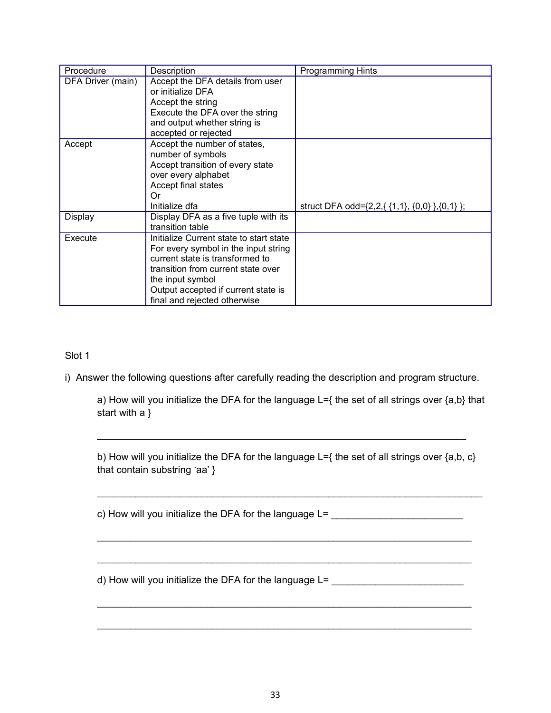| Procedure         | Description                                                                                                                                                                                                                                         | <b>Programming Hints</b>                      |
|-------------------|-----------------------------------------------------------------------------------------------------------------------------------------------------------------------------------------------------------------------------------------------------|-----------------------------------------------|
| DFA Driver (main) | Accept the DFA details from user<br>or initialize DFA<br>Accept the string<br>Execute the DFA over the string<br>and output whether string is<br>accepted or rejected                                                                               |                                               |
| Accept            | Accept the number of states,<br>number of symbols<br>Accept transition of every state<br>over every alphabet<br>Accept final states<br>0r                                                                                                           |                                               |
|                   | Initialize dfa                                                                                                                                                                                                                                      | struct DFA odd={2,2,{ {1,1}, {0,0} },{0,1} }; |
| Display           | Display DFA as a five tuple with its<br>transition table                                                                                                                                                                                            |                                               |
| Execute           | Initialize Current state to start state<br>For every symbol in the input string<br>current state is transformed to<br>transition from current state over<br>the input symbol<br>Output accepted if current state is<br>final and rejected otherwise |                                               |

Slot 1

i) Answer the following questions after carefully reading the description and program structure.

a) How will you initialize the DFA for the language L={ the set of all strings over {a,b} that start with a }

b) How will you initialize the DFA for the language L={ the set of all strings over {a,b, c} that contain substring 'aa' }

\_\_\_\_\_\_\_\_\_\_\_\_\_\_\_\_\_\_\_\_\_\_\_\_\_\_\_\_\_\_\_\_\_\_\_\_\_\_\_\_\_\_\_\_\_\_\_\_\_\_\_\_\_\_\_\_\_\_\_\_\_\_\_\_\_\_\_\_\_\_

\_\_\_\_\_\_\_\_\_\_\_\_\_\_\_\_\_\_\_\_\_\_\_\_\_\_\_\_\_\_\_\_\_\_\_\_\_\_\_\_\_\_\_\_\_\_\_\_\_\_\_\_\_\_\_\_\_\_\_\_\_\_\_\_\_\_\_\_

\_\_\_\_\_\_\_\_\_\_\_\_\_\_\_\_\_\_\_\_\_\_\_\_\_\_\_\_\_\_\_\_\_\_\_\_\_\_\_\_\_\_\_\_\_\_\_\_\_\_\_\_\_\_\_\_\_\_\_\_\_\_\_\_\_\_\_\_

\_\_\_\_\_\_\_\_\_\_\_\_\_\_\_\_\_\_\_\_\_\_\_\_\_\_\_\_\_\_\_\_\_\_\_\_\_\_\_\_\_\_\_\_\_\_\_\_\_\_\_\_\_\_\_\_\_\_\_\_\_\_\_\_\_\_\_\_

\_\_\_\_\_\_\_\_\_\_\_\_\_\_\_\_\_\_\_\_\_\_\_\_\_\_\_\_\_\_\_\_\_\_\_\_\_\_\_\_\_\_\_\_\_\_\_\_\_\_\_\_\_\_\_\_\_\_\_\_\_\_\_\_\_\_\_\_

\_\_\_\_\_\_\_\_\_\_\_\_\_\_\_\_\_\_\_\_\_\_\_\_\_\_\_\_\_\_\_\_\_\_\_\_\_\_\_\_\_\_\_\_\_\_\_\_\_\_\_\_\_\_\_\_\_\_\_\_\_\_\_\_\_\_\_

c) How will you initialize the DFA for the language L= \_\_\_\_\_\_\_\_\_\_\_\_\_\_\_\_\_\_\_\_\_\_\_\_

d) How will you initialize the DFA for the language  $L =$